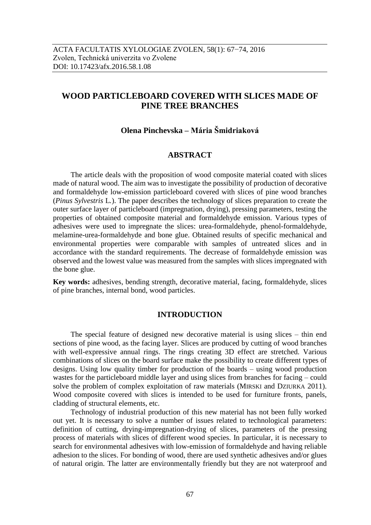# **WOOD PARTICLEBOARD COVERED WITH SLICES MADE OF PINE TREE BRANCHES**

# **Olena Pinchevska – Mária Šmidriaková**

# **ABSTRACT**

The article deals with the proposition of wood composite material coated with slices made of natural wood. The aim was to investigate the possibility of production of decorative and formaldehyde low-emission particleboard covered with slices of pine wood branches (*Pinus Sylvestris* L*.*). The paper describes the technology of slices preparation to create the outer surface layer of particleboard (impregnation, drying), pressing parameters, testing the properties of obtained composite material and formaldehyde emission. Various types of adhesives were used to impregnate the slices: urea-formaldehyde, phenol-formaldehyde, melamine-urea-formaldehyde and bone glue. Obtained results of specific mechanical and environmental properties were comparable with samples of untreated slices and in accordance with the standard requirements. The decrease of formaldehyde emission was observed and the lowest value was measured from the samples with slices impregnated with the bone glue.

**Key words:** adhesives, bending strength, decorative material, facing, formaldehyde, slices of pine branches, internal bond, wood particles.

# **INTRODUCTION**

The special feature of designed new decorative material is using slices – thin end sections of pine wood, as the facing layer. Slices are produced by cutting of wood branches with well-expressive annual rings. The rings creating 3D effect are stretched. Various combinations of slices on the board surface make the possibility to create different types of designs. Using low quality timber for production of the boards – using wood production wastes for the particleboard middle layer and using slices from branches for facing – could solve the problem of complex exploitation of raw materials (MIRSKI and DZIURKA 2011). Wood composite covered with slices is intended to be used for furniture fronts, panels, cladding of structural elements, etc.

Technology of industrial production of this new material has not been fully worked out yet. It is necessary to solve a number of issues related to technological parameters: definition of cutting, drying-impregnation-drying of slices, parameters of the pressing process of materials with slices of different wood species. In particular, it is necessary to search for environmental adhesives with low-emission of formaldehyde and having reliable adhesion to the slices. For bonding of wood, there are used synthetic adhesives and/or glues of natural origin. The latter are environmentally friendly but they are not waterproof and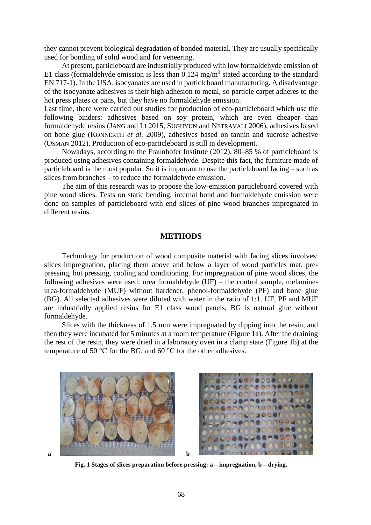they cannot prevent biological degradation of bonded material. They are usually specifically used for bonding of solid wood and for veneering.

At present, particleboard are industrially produced with low formaldehyde emission of E1 class (formaldehyde emission is less than  $0.124 \text{ mg/m}^3$  stated according to the standard EN 717-1). In the USA, isocyanates are used in particleboard manufacturing. A disadvantage of the isocyanate adhesives is their high adhesion to metal, so particle carpet adheres to the hot press plates or pans, but they have no formaldehyde emission.

Last time, there were carried out studies for production of eco-particleboard which use the following binders: adhesives based on soy protein, which are even cheaper than formaldehyde resins (JANG and LI 2015, SUGHYUN and NETRAVALI 2006), adhesives based on bone glue (KONNERTH *et al.* 2009), adhesives based on tannin and sucrose adhesive (OSMAN 2012). Production of eco-particleboard is still in development.

Nowadays, according to the Fraunhofer Institute (2012), 80–85 % of particleboard is produced using adhesives containing formaldehyde. Despite this fact, the furniture made of particleboard is the most popular. So it is important to use the particleboard facing – such as slices from branches – to reduce the formaldehyde emission.

The aim of this research was to propose the low-emission particleboard covered with pine wood slices. Tests on static bending, internal bond and formaldehyde emission were done on samples of particleboard with end slices of pine wood branches impregnated in different resins.

# **METHODS**

Technology for production of wood composite material with facing slices involves: slices impregnation, placing them above and below a layer of wood particles mat, prepressing, hot pressing, cooling and conditioning. For impregnation of pine wood slices, the following adhesives were used: urea formaldehyde (UF) – the control sample, melamineurea-formaldehyde (MUF) without hardener, phenol-formaldehyde (PF) and bone glue (BG). All selected adhesives were diluted with water in the ratio of 1:1. UF, PF and MUF are industrially applied resins for E1 class wood panels, BG is natural glue without formaldehyde.

Slices with the thickness of 1.5 mm were impregnated by dipping into the resin, and then they were incubated for 5 minutes at a room temperature (Figure 1a). After the draining the rest of the resin, they were dried in a laboratory oven in a clamp state (Figure 1b) at the temperature of 50 °C for the BG, and 60 °C for the other adhesives.





**Fig. 1 Stages of slices preparation before pressing: a – impregnation, b – drying.**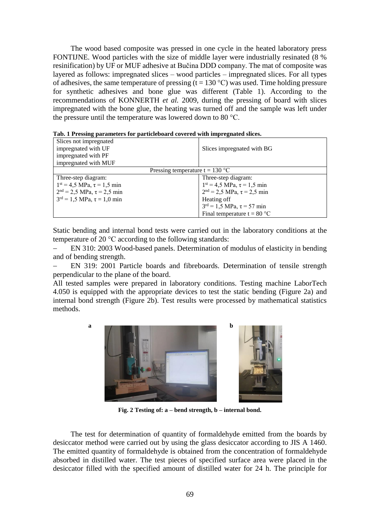The wood based composite was pressed in one cycle in the heated laboratory press FONTIJNE. Wood particles with the size of middle layer were industrially resinated (8 % resinification) by UF or MUF adhesive at Bučina DDD company. The mat of composite was layered as follows: impregnated slices – wood particles – impregnated slices. For all types of adhesives, the same temperature of pressing (t = 130 °C) was used. Time holding pressure for synthetic adhesives and bone glue was different (Table 1). According to the recommendations of KONNERTH *et al.* 2009, during the pressing of board with slices impregnated with the bone glue, the heating was turned off and the sample was left under the pressure until the temperature was lowered down to 80 °C.

|  |  |  |  | Tab. 1 Pressing parameters for particleboard covered with impregnated slices. |  |
|--|--|--|--|-------------------------------------------------------------------------------|--|
|  |  |  |  |                                                                               |  |

| Slices not impregnated                             |                                                    |  |  |  |  |  |  |
|----------------------------------------------------|----------------------------------------------------|--|--|--|--|--|--|
| impregnated with UF                                | Slices impregnated with BG                         |  |  |  |  |  |  |
| impregnated with PF                                |                                                    |  |  |  |  |  |  |
| impregnated with MUF                               |                                                    |  |  |  |  |  |  |
| Pressing temperature $t = 130 °C$                  |                                                    |  |  |  |  |  |  |
| Three-step diagram:                                | Three-step diagram:                                |  |  |  |  |  |  |
| $1^{st} = 4.5 \text{ MPa}, \tau = 1.5 \text{ min}$ | $1^{st} = 4.5 \text{ MPa}, \tau = 1.5 \text{ min}$ |  |  |  |  |  |  |
| $2nd = 2.5 MPa, \tau = 2.5 min$                    | $2nd = 2.5 MPa, \tau = 2.5 min$                    |  |  |  |  |  |  |
| $3^{rd} = 1.5 \text{ MPa}, \tau = 1.0 \text{ min}$ | Heating off                                        |  |  |  |  |  |  |
|                                                    | $3^{rd} = 1.5 \text{ MPa}, \tau = 57 \text{ min}$  |  |  |  |  |  |  |
|                                                    | Final temperature $t = 80$ °C                      |  |  |  |  |  |  |

Static bending and internal bond tests were carried out in the laboratory conditions at the temperature of 20 °C according to the following standards:

 EN 310: 2003 Wood-based panels. Determination of modulus of elasticity in bending and of bending strength.

 EN 319: 2001 Particle boards and fibreboards. Determination of tensile strength perpendicular to the plane of the board.

All tested samples were prepared in laboratory conditions. Testing machine LaborTech 4.050 is equipped with the appropriate devices to test the static bending (Figure 2a) and internal bond strength (Figure 2b). Test results were processed by mathematical statistics methods.



**Fig. 2 Testing of: a – bend strength, b – internal bond.**

The test for determination of quantity of formaldehyde emitted from the boards by desiccator method were carried out by using the glass desiccator according to JIS A 1460. The emitted quantity of formaldehyde is obtained from the concentration of formaldehyde absorbed in distilled water. The test pieces of specified surface area were placed in the desiccator filled with the specified amount of distilled water for 24 h. The principle for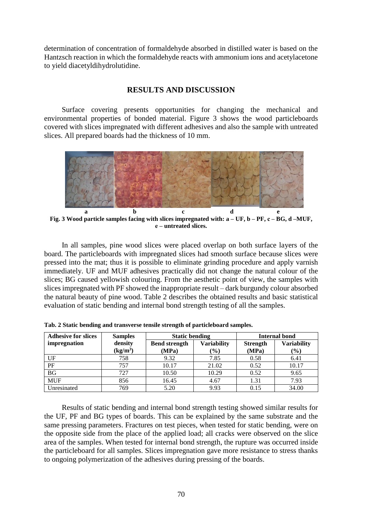determination of concentration of formaldehyde absorbed in distilled water is based on the Hantzsch reaction in which the formaldehyde reacts with ammonium ions and acetylacetone to yield diacetyldihydrolutidine.

# **RESULTS AND DISCUSSION**

Surface covering presents opportunities for changing the mechanical and environmental properties of bonded material. Figure 3 shows the wood particleboards covered with slices impregnated with different adhesives and also the sample with untreated slices. All prepared boards had the thickness of 10 mm.



**Fig. 3 Wood particle samples facing with slices impregnated with: a – UF, b – PF, с – BG, d –MUF, е – untreated slices.**

In all samples, pine wood slices were placed overlap on both surface layers of the board. The particleboards with impregnated slices had smooth surface because slices were pressed into the mat; thus it is possible to eliminate grinding procedure and apply varnish immediately. UF and MUF adhesives practically did not change the natural colour of the slices; BG caused yellowish colouring. From the aesthetic point of view, the samples with slices impregnated with PF showed the inappropriate result – dark burgundy colour absorbed the natural beauty of pine wood. Table 2 describes the obtained results and basic statistical evaluation of static bending and internal bond strength testing of all the samples.

| <b>Adhesive for slices</b> | <b>Samples</b>       | <b>Static bending</b> |                    | <b>Internal bond</b> |                    |  |
|----------------------------|----------------------|-----------------------|--------------------|----------------------|--------------------|--|
| impregnation               | density              | <b>Bend strength</b>  | <b>Variability</b> | <b>Strength</b>      | <b>Variability</b> |  |
|                            | (kg/m <sup>3</sup> ) | (MPa)                 | $(\%)$             | (MPa)                | (%)                |  |
| UF                         | 758                  | 9.32                  | 7.85               | 0.58                 | 6.41               |  |
| PF                         | 757                  | 10.17                 | 21.02              | 0.52                 | 10.17              |  |
| <b>BG</b>                  | 727                  | 10.50                 | 10.29              | 0.52                 | 9.65               |  |
| <b>MUF</b>                 | 856                  | 16.45                 | 4.67               | 1.31                 | 7.93               |  |
| Unresinated                | 769                  | 5.20                  | 9.93               | 0.15                 | 34.00              |  |

**Tab. 2 Static bending and transverse tensile strength of particleboard samples.**

Results of static bending and internal bond strength testing showed similar results for the UF, PF and BG types of boards. This can be explained by the same substrate and the same pressing parameters. Fractures on test pieces, when tested for static bending, were on the opposite side from the place of the applied load; all cracks were observed on the slice area of the samples. When tested for internal bond strength, the rupture was occurred inside the particleboard for all samples. Slices impregnation gave more resistance to stress thanks to ongoing polymerization of the adhesives during pressing of the boards.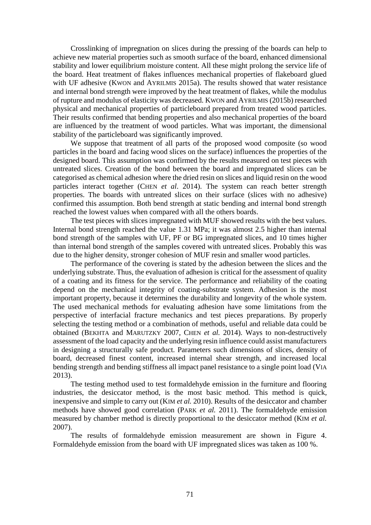Crosslinking of impregnation on slices during the pressing of the boards can help to achieve new material properties such as smooth surface of the board, enhanced dimensional stability and lower equilibrium moisture content. All these might prolong the service life of the board. Heat treatment of flakes influences mechanical properties of flakeboard glued with UF adhesive (KWON and AYRILMIS 2015a). The results showed that water resistance and internal bond strength were improved by the heat treatment of flakes, while the modulus of rupture and modulus of elasticity was decreased. KWON and AYRILMIS (2015b) researched physical and mechanical properties of particleboard prepared from treated wood particles. Their results confirmed that bending properties and also mechanical properties of the board are influenced by the treatment of wood particles. What was important, the dimensional stability of the particleboard was significantly improved.

We suppose that treatment of all parts of the proposed wood composite (so wood particles in the board and facing wood slices on the surface) influences the properties of the designed board. This assumption was confirmed by the results measured on test pieces with untreated slices. Creation of the bond between the board and impregnated slices can be categorised as chemical adhesion where the dried resin on slices and liquid resin on the wood particles interact together (CHEN *et al*. 2014). The system can reach better strength properties. The boards with untreated slices on their surface (slices with no adhesive) confirmed this assumption. Both bend strength at static bending and internal bond strength reached the lowest values when compared with all the others boards.

The test pieces with slices impregnated with MUF showed results with the best values. Internal bond strength reached the value 1.31 MPa; it was almost 2.5 higher than internal bond strength of the samples with UF, PF or BG impregnated slices, and 10 times higher than internal bond strength of the samples covered with untreated slices. Probably this was due to the higher density, stronger cohesion of MUF resin and smaller wood particles.

The performance of the covering is stated by the adhesion between the slices and the underlying substrate. Thus, the evaluation of adhesion is critical for the assessment of quality of a coating and its fitness for the service. The performance and reliability of the coating depend on the mechanical integrity of coating-substrate system. Adhesion is the most important property, because it determines the durability and longevity of the whole system. The used mechanical methods for evaluating adhesion have some limitations from the perspective of interfacial fracture mechanics and test pieces preparations. By properly selecting the testing method or a combination of methods, useful and reliable data could be obtained (BEKHTA and MARUTZKY 2007, CHEN *et al.* 2014). Ways to non-destructively assessment of the load capacity and the underlying resin influence could assist manufacturers in designing a structurally safe product. Parameters such dimensions of slices, density of board, decreased finest content, increased internal shear strength, and increased local bending strength and bending stiffness all impact panel resistance to a single point load (VIA 2013).

The testing method used to test formaldehyde emission in the furniture and flooring industries, the desiccator method, is the most basic method. This method is quick, inexpensive and simple to carry out (KIM *et al.* 2010). Results of the desiccator and chamber methods have showed good correlation (PARK *et al.* 2011). The formaldehyde emission measured by chamber method is directly proportional to the desiccator method (KIM *et al.* 2007).

The results of formaldehyde emission measurement are shown in Figure 4. Formaldehyde emission from the board with UF impregnated slices was taken as 100 %.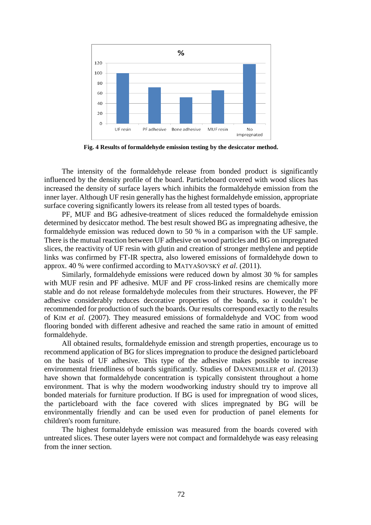

**Fig. 4 Results of formaldehyde emission testing by the desiccator method.**

The intensity of the formaldehyde release from bonded product is significantly influenced by the density profile of the board. Particleboard covered with wood slices has increased the density of surface layers which inhibits the formaldehyde emission from the inner layer. Although UF resin generally has the highest formaldehyde emission, appropriate surface covering significantly lowers its release from all tested types of boards.

PF, MUF and BG adhesive-treatment of slices reduced the formaldehyde emission determined by desiccator method. The best result showed BG as impregnating adhesive, the formaldehyde emission was reduced down to 50 % in a comparison with the UF sample. There is the mutual reaction between UF adhesive on wood particles and BG on impregnated slices, the reactivity of UF resin with glutin and creation of stronger methylene and peptide links was confirmed by FT-IR spectra, also lowered emissions of formaldehyde down to approx. 40 % were confirmed according to MATYAŠOVSKÝ *et al*. (2011).

Similarly, formaldehyde emissions were reduced down by almost 30 % for samples with MUF resin and PF adhesive. MUF and PF cross-linked resins are chemically more stable and do not release formaldehyde molecules from their structures. However, the PF adhesive considerably reduces decorative properties of the boards, so it couldn't be recommended for production of such the boards. Our results correspond exactly to the results of KIM *et al.* (2007). They measured emissions of formaldehyde and VOC from wood flooring bonded with different adhesive and reached the same ratio in amount of emitted formaldehyde.

All obtained results, formaldehyde emission and strength properties, encourage us to recommend application of BG for slices impregnation to produce the designed particleboard on the basis of UF adhesive. This type of the adhesive makes possible to increase environmental friendliness of boards significantly. Studies of DANNEMILLER *et al*. (2013) have shown that formaldehyde concentration is typically consistent throughout a home environment. That is why the modern woodworking industry should try to improve all bonded materials for furniture production. If BG is used for impregnation of wood slices, the particleboard with the face covered with slices impregnated by BG will be environmentally friendly and can be used even for production of panel elements for children's room furniture.

The highest formaldehyde emission was measured from the boards covered with untreated slices. These outer layers were not compact and formaldehyde was easy releasing from the inner section.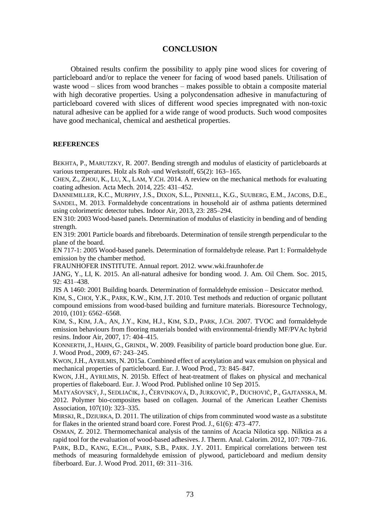# **CONCLUSION**

Obtained results confirm the possibility to apply pine wood slices for covering of particleboard and/or to replace the veneer for facing of wood based panels. Utilisation of waste wood – slices from wood branches – makes possible to obtain a composite material with high decorative properties. Using a polycondensation adhesive in manufacturing of particleboard covered with slices of different wood species impregnated with non-toxic natural adhesive can be applied for a wide range of wood products. Such wood composites have good mechanical, chemical and aesthetical properties.

#### **REFERENCES**

BEKHTA, P., MARUTZKY, R. 2007. Bending strength and modulus of elasticity of particleboards at various temperatures. Holz als Roh -und Werkstoff,  $65(2)$ : 163–165.

CHEN, Z., ZHOU, K., LU, X., LAM, Y.CH. 2014. A review on the mechanical methods for evaluating coating adhesion. Acta Mech. 2014, 225: 431–452.

DANNEMILLER, K.C., MURPHY, J.S., DIXON, S.L., PENNELL, K.G., SUUBERG, E.M., JACOBS, D.E., SANDEL, M. 2013. Formaldehyde concentrations in household air of asthma patients determined using colorimetric detector tubes. Indoor Air, 2013, 23: 285–294.

EN 310: 2003 Wood-based panels. Determination of modulus of elasticity in bending and of bending strength.

EN 319: 2001 Particle boards and fibreboards. Determination of tensile strength perpendicular to the plane of the board.

EN 717-1: 2005 Wood-based panels. Determination of formaldehyde release. Part 1: Formaldehyde emission by the chamber method.

FRAUNHOFER INSTITUTE. Annual report. 2012. www.wki.fraunhofer.de

JANG, Y., LI, K. 2015. An all-natural adhesive for bonding wood. J. Am. Oil Chem. Soc. 2015, 92: 431–438.

JIS A 1460: 2001 Building boards. Determination of formaldehyde emission – Desiccator method.

KIM, S., CHOI, Y.K., PARK, K.W., KIM, J.T. 2010. Test methods and reduction of organic pollutant compound emissions from wood-based building and furniture materials. Bioresource Technology, 2010, (101): 6562–6568.

KIM, S., KIM, J.A., AN, J.Y., KIM, H.J., KIM, S.D., PARK, J.CH. 2007. TVOC and formaldehyde emission behaviours from flooring materials bonded with environmental-friendly MF/PVAc hybrid resins. Indoor Air, 2007, 17: 404–415.

KONNERTH,J., HAHN, G., GRINDL, W. 2009. Feasibility of particle board production bone glue. Eur. J. Wood Prod., 2009, 67: 243–245.

KWON,J.H., AYRILMIS, N. 2015a. Combined effect of acetylation and wax emulsion on physical and mechanical properties of particleboard. Eur. J. Wood Prod., 73: 845–847.

KWON, J.H., AYRILMIS, N. 2015b. Effect of heat-treatment of flakes on physical and mechanical properties of flakeboard. Eur. J. Wood Prod. Published online 10 Sep 2015.

MATYAŠOVSKÝ, J., SEDLIAČIK, J., ČERVINKOVÁ, D., JURKOVIČ, P., DUCHOVIČ, P., GAJTANSKA, M. 2012. Polymer bio-composites based on collagen. Journal of the American Leather Chemists Association, 107(10): 323–335.

MIRSKI, R., DZIURKA, D. 2011. The utilization of chips from comminuted wood waste as a substitute for flakes in the oriented strand board core. Forest Prod. J., 61(6): 473–477.

OSMAN, Z. 2012. Thermomechanical analysis of the tannins of Acacia Nilotica spp. Nilktica as a rapid tool for the evaluation of wood-based adhesives. J. Therm. Anal. Calorim. 2012, 107: 709–716. PARK, B.D., KANG, E.CH., PARK, S.B., PARK. J.Y. 2011. Empirical correlations between test methods of measuring formaldehyde emission of plywood, particleboard and medium density fiberboard. Eur. J. Wood Prod. 2011, 69: 311–316.